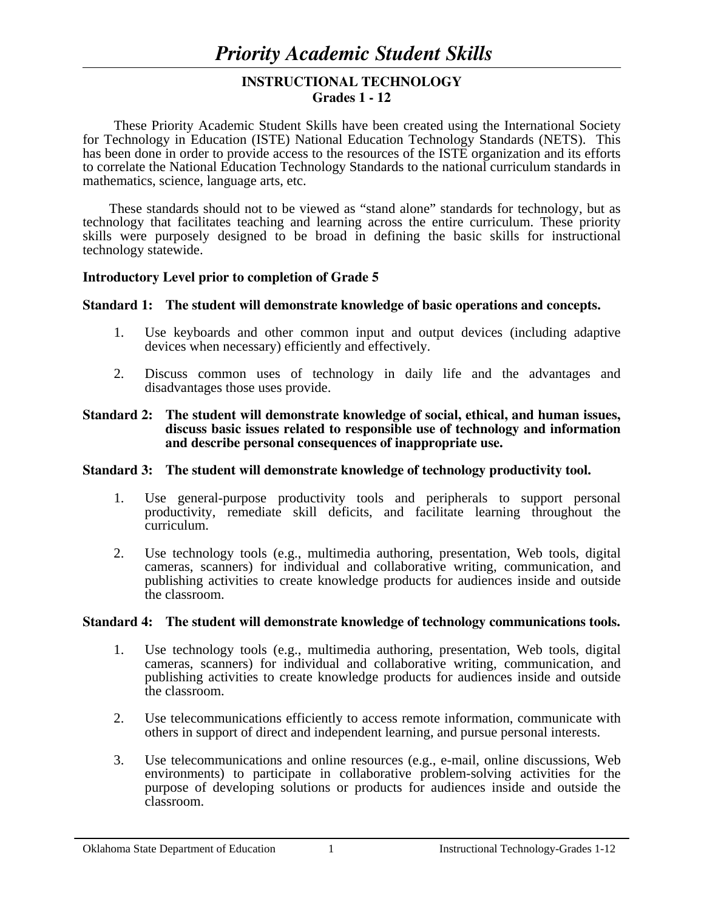# **INSTRUCTIONAL TECHNOLOGY Grades 1 - 12**

 These Priority Academic Student Skills have been created using the International Society for Technology in Education (ISTE) National Education Technology Standards (NETS). This has been done in order to provide access to the resources of the ISTE organization and its efforts to correlate the National Education Technology Standards to the national curriculum standards in mathematics, science, language arts, etc.

These standards should not to be viewed as "stand alone" standards for technology, but as technology that facilitates teaching and learning across the entire curriculum. These priority skills were purposely designed to be broad in defining the basic skills for instructional technology statewide.

### **Introductory Level prior to completion of Grade 5**

### **Standard 1: The student will demonstrate knowledge of basic operations and concepts.**

- 1. Use keyboards and other common input and output devices (including adaptive devices when necessary) efficiently and effectively.
- 2. Discuss common uses of technology in daily life and the advantages and disadvantages those uses provide.

### **Standard 2: The student will demonstrate knowledge of social, ethical, and human issues, discuss basic issues related to responsible use of technology and information and describe personal consequences of inappropriate use.**

### **Standard 3: The student will demonstrate knowledge of technology productivity tool.**

- 1. Use general-purpose productivity tools and peripherals to support personal productivity, remediate skill deficits, and facilitate learning throughout the curriculum.
- 2. Use technology tools (e.g., multimedia authoring, presentation, Web tools, digital cameras, scanners) for individual and collaborative writing, communication, and publishing activities to create knowledge products for audiences inside and outside the classroom.

### **Standard 4: The student will demonstrate knowledge of technology communications tools.**

- 1. Use technology tools (e.g., multimedia authoring, presentation, Web tools, digital cameras, scanners) for individual and collaborative writing, communication, and publishing activities to create knowledge products for audiences inside and outside the classroom.
- 2. Use telecommunications efficiently to access remote information, communicate with others in support of direct and independent learning, and pursue personal interests.
- 3. Use telecommunications and online resources (e.g., e-mail, online discussions, Web environments) to participate in collaborative problem-solving activities for the purpose of developing solutions or products for audiences inside and outside the classroom.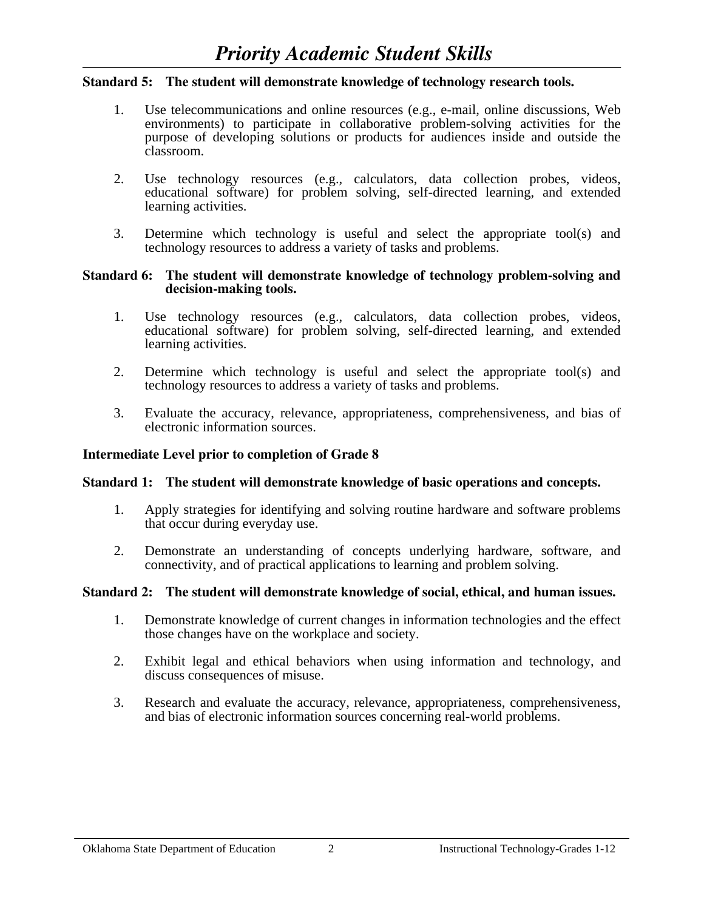### **Standard 5: The student will demonstrate knowledge of technology research tools.**

- 1. Use telecommunications and online resources (e.g., e-mail, online discussions, Web environments) to participate in collaborative problem-solving activities for the purpose of developing solutions or products for audiences inside and outside the classroom.
- 2. Use technology resources (e.g., calculators, data collection probes, videos, educational software) for problem solving, self-directed learning, and extended learning activities.
- 3. Determine which technology is useful and select the appropriate tool(s) and technology resources to address a variety of tasks and problems.

#### **Standard 6: The student will demonstrate knowledge of technology problem-solving and decision-making tools.**

- 1. Use technology resources (e.g., calculators, data collection probes, videos, educational software) for problem solving, self-directed learning, and extended learning activities.
- 2. Determine which technology is useful and select the appropriate tool(s) and technology resources to address a variety of tasks and problems.
- 3. Evaluate the accuracy, relevance, appropriateness, comprehensiveness, and bias of electronic information sources.

### **Intermediate Level prior to completion of Grade 8**

#### **Standard 1: The student will demonstrate knowledge of basic operations and concepts.**

- 1. Apply strategies for identifying and solving routine hardware and software problems that occur during everyday use.
- 2. Demonstrate an understanding of concepts underlying hardware, software, and connectivity, and of practical applications to learning and problem solving.

#### **Standard 2: The student will demonstrate knowledge of social, ethical, and human issues.**

- 1. Demonstrate knowledge of current changes in information technologies and the effect those changes have on the workplace and society.
- 2. Exhibit legal and ethical behaviors when using information and technology, and discuss consequences of misuse.
- 3. Research and evaluate the accuracy, relevance, appropriateness, comprehensiveness, and bias of electronic information sources concerning real-world problems.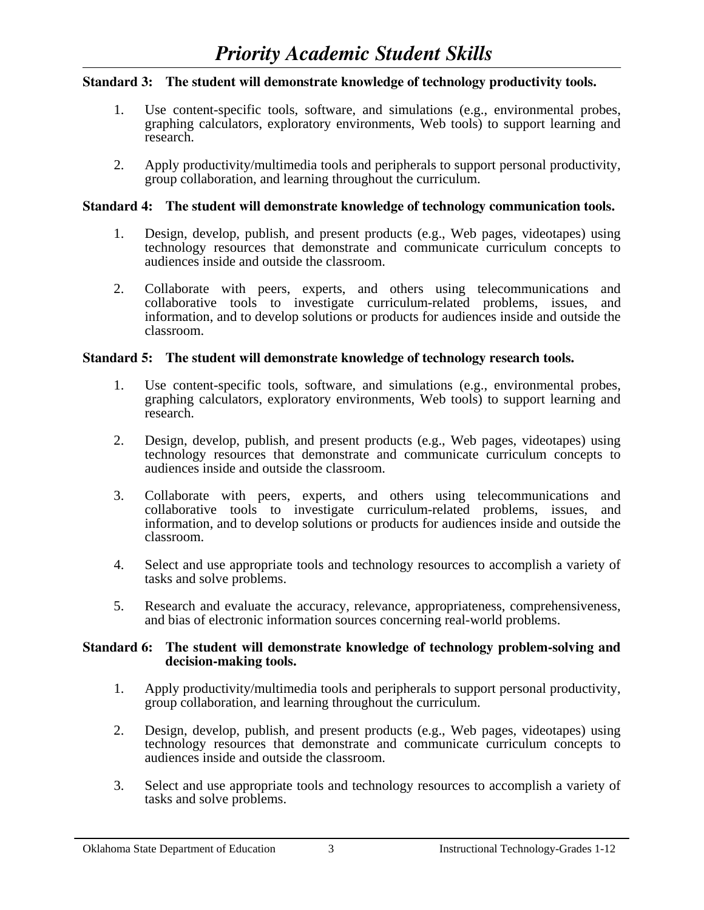# **Standard 3: The student will demonstrate knowledge of technology productivity tools.**

- 1. Use content-specific tools, software, and simulations (e.g., environmental probes, graphing calculators, exploratory environments, Web tools) to support learning and research.
- 2. Apply productivity/multimedia tools and peripherals to support personal productivity, group collaboration, and learning throughout the curriculum.

## **Standard 4: The student will demonstrate knowledge of technology communication tools.**

- 1. Design, develop, publish, and present products (e.g., Web pages, videotapes) using technology resources that demonstrate and communicate curriculum concepts to audiences inside and outside the classroom.
- 2. Collaborate with peers, experts, and others using telecommunications and collaborative tools to investigate curriculum-related problems, issues, and information, and to develop solutions or products for audiences inside and outside the classroom.

# **Standard 5: The student will demonstrate knowledge of technology research tools.**

- 1. Use content-specific tools, software, and simulations (e.g., environmental probes, graphing calculators, exploratory environments, Web tools) to support learning and research.
- 2. Design, develop, publish, and present products (e.g., Web pages, videotapes) using technology resources that demonstrate and communicate curriculum concepts to audiences inside and outside the classroom.
- 3. Collaborate with peers, experts, and others using telecommunications and collaborative tools to investigate curriculum-related problems, issues, and information, and to develop solutions or products for audiences inside and outside the classroom.
- 4. Select and use appropriate tools and technology resources to accomplish a variety of tasks and solve problems.
- 5. Research and evaluate the accuracy, relevance, appropriateness, comprehensiveness, and bias of electronic information sources concerning real-world problems.

### **Standard 6: The student will demonstrate knowledge of technology problem-solving and decision-making tools.**

- 1. Apply productivity/multimedia tools and peripherals to support personal productivity, group collaboration, and learning throughout the curriculum.
- 2. Design, develop, publish, and present products (e.g., Web pages, videotapes) using technology resources that demonstrate and communicate curriculum concepts to audiences inside and outside the classroom.
- 3. Select and use appropriate tools and technology resources to accomplish a variety of tasks and solve problems.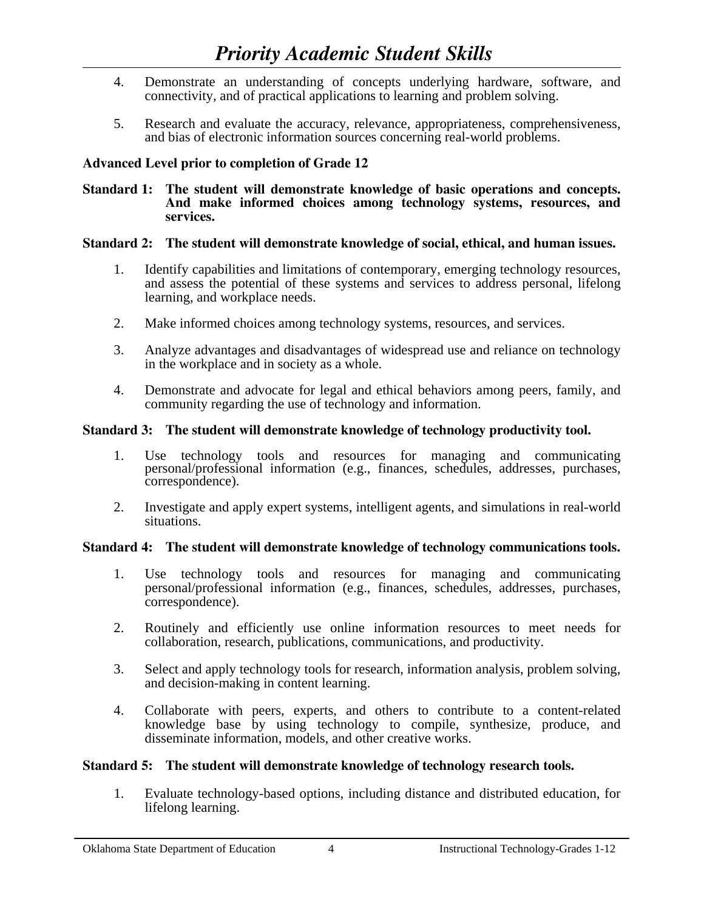- 4. Demonstrate an understanding of concepts underlying hardware, software, and connectivity, and of practical applications to learning and problem solving.
- 5. Research and evaluate the accuracy, relevance, appropriateness, comprehensiveness, and bias of electronic information sources concerning real-world problems.

# **Advanced Level prior to completion of Grade 12**

#### **Standard 1: The student will demonstrate knowledge of basic operations and concepts. And make informed choices among technology systems, resources, and services.**

# **Standard 2: The student will demonstrate knowledge of social, ethical, and human issues.**

- 1. Identify capabilities and limitations of contemporary, emerging technology resources, and assess the potential of these systems and services to address personal, lifelong learning, and workplace needs.
- 2. Make informed choices among technology systems, resources, and services.
- 3. Analyze advantages and disadvantages of widespread use and reliance on technology in the workplace and in society as a whole.
- 4. Demonstrate and advocate for legal and ethical behaviors among peers, family, and community regarding the use of technology and information.

# **Standard 3: The student will demonstrate knowledge of technology productivity tool.**

- 1. Use technology tools and resources for managing and communicating personal/professional information (e.g., finances, schedules, addresses, purchases, correspondence).
- 2. Investigate and apply expert systems, intelligent agents, and simulations in real-world situations.

# **Standard 4: The student will demonstrate knowledge of technology communications tools.**

- 1. Use technology tools and resources for managing and communicating personal/professional information (e.g., finances, schedules, addresses, purchases, correspondence).
- 2. Routinely and efficiently use online information resources to meet needs for collaboration, research, publications, communications, and productivity.
- 3. Select and apply technology tools for research, information analysis, problem solving, and decision-making in content learning.
- 4. Collaborate with peers, experts, and others to contribute to a content-related knowledge base by using technology to compile, synthesize, produce, and disseminate information, models, and other creative works.

# **Standard 5: The student will demonstrate knowledge of technology research tools.**

 1. Evaluate technology-based options, including distance and distributed education, for lifelong learning.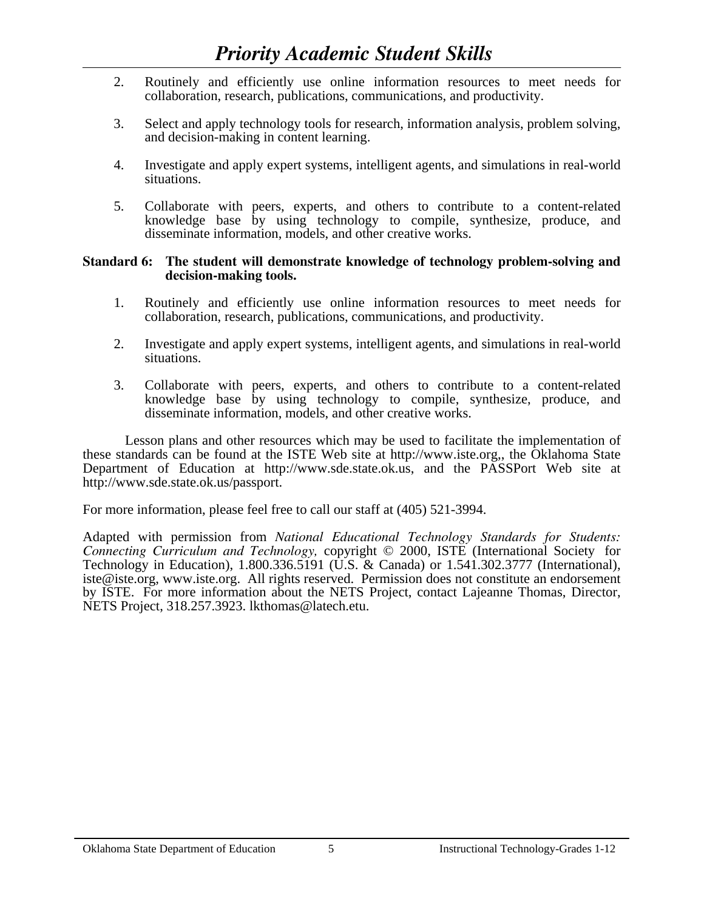- 2. Routinely and efficiently use online information resources to meet needs for collaboration, research, publications, communications, and productivity.
- 3. Select and apply technology tools for research, information analysis, problem solving, and decision-making in content learning.
- 4. Investigate and apply expert systems, intelligent agents, and simulations in real-world situations.
- 5. Collaborate with peers, experts, and others to contribute to a content-related knowledge base by using technology to compile, synthesize, produce, and disseminate information, models, and other creative works.

### **Standard 6: The student will demonstrate knowledge of technology problem-solving and decision-making tools.**

- 1. Routinely and efficiently use online information resources to meet needs for collaboration, research, publications, communications, and productivity.
- 2. Investigate and apply expert systems, intelligent agents, and simulations in real-world situations.
- 3. Collaborate with peers, experts, and others to contribute to a content-related knowledge base by using technology to compile, synthesize, produce, and disseminate information, models, and other creative works.

 Lesson plans and other resources which may be used to facilitate the implementation of these standards can be found at the ISTE Web site at http://www.iste.org,, the Oklahoma State Department of Education at http://www.sde.state.ok.us, and the PASSPort Web site at http://www.sde.state.ok.us/passport.

For more information, please feel free to call our staff at (405) 521-3994.

Adapted with permission from *National Educational Technology Standards for Students: Connecting Curriculum and Technology,* copyright © 2000, ISTE (International Society for Technology in Education), 1.800.336.5191 (U.S. & Canada) or 1.541.302.3777 (International), iste@iste.org, www.iste.org. All rights reserved. Permission does not constitute an endorsement by ISTE. For more information about the NETS Project, contact Lajeanne Thomas, Director, NETS Project, 318.257.3923. lkthomas@latech.etu.